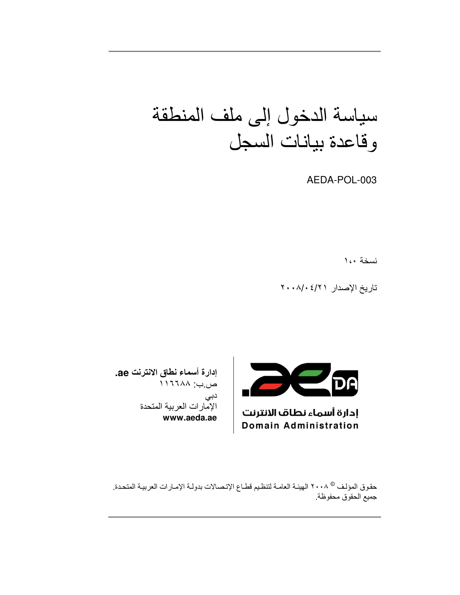# سياسة الدخول إلى ملف المنطقة وقاعدة بيانات السجل

AEDA-POL-003

نسخة ١،٠

تاريخ الإصدار ٢٠٠٨/٠٤/٢



إدارة أسماء نطاف الانترنت **Domain Administration** 

إدارة أسماء نطاق الانترنت ae. ص.ب: ١١٦٦٨٨ دبی الإمارات العربية المتحدة www.aeda.ae

حقوق المؤلف © ٢٠٠٨ الهيئة العامـة لتنظيم قطـاع الإتـصـالات بدولـة الإمـارات العربيـة المتحدة. جميع الحقوق محفوظة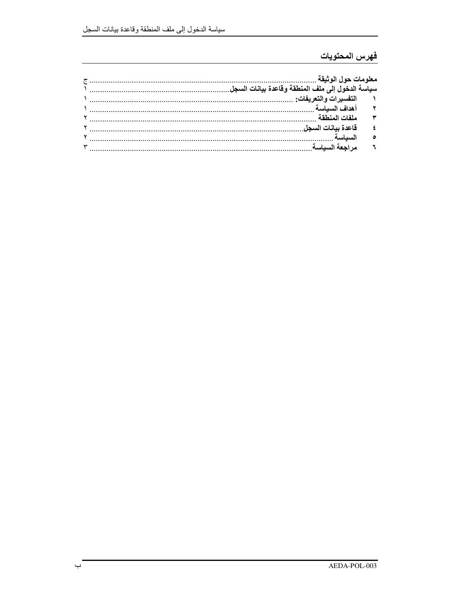## فهرس المحتويات

| ملفات المنطقة |  |
|---------------|--|
|               |  |
|               |  |
|               |  |
|               |  |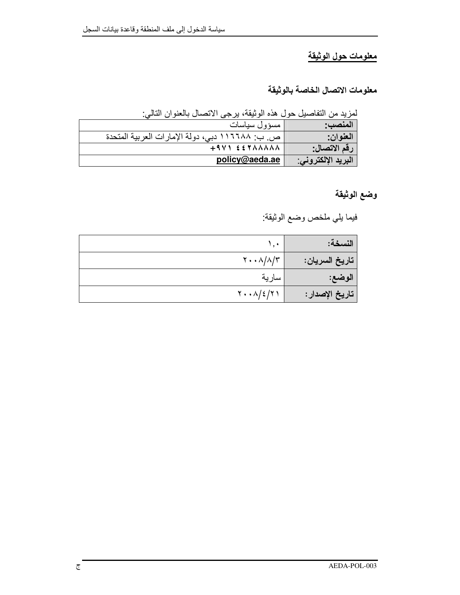## معلومات حول الوثيقة

معلومات الاتصال الخاصة بالوثيقة

لمزيد من التفاصيل حول هذه الوثيقة، يرجى الاتصال بالعنوان التالي:

| المنصب:            | مسؤول سياسات                                    |
|--------------------|-------------------------------------------------|
| العنوان:           | ص. ب: ١١٦٦٨٨ دبي، دولة الإمارات العربية المتحدة |
| رقم الاتصال:       | $+9V$ $557AAAAA$                                |
| البريد الإلكتروني: | policy@aeda.ae                                  |

وضع الوثيقة

فيما يلي ملخص وضع الوثيقة:

| النسخة:         | ۰.۱                                                       |
|-----------------|-----------------------------------------------------------|
| تاريخ السريان:  | $\mathbf{Y} \cdot \cdot \mathbf{A}/\mathbf{A}/\mathbf{Y}$ |
| الوضع:          | سارية                                                     |
| تاريخ الإصدار : | $Y \cdot \cdot \Lambda / 2 / 7$                           |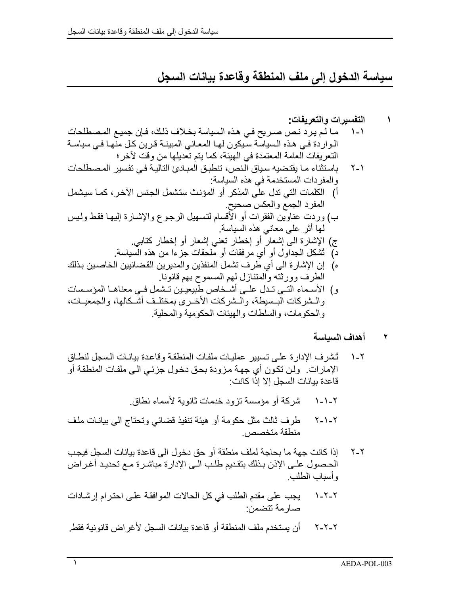سياسة الدخول إلى ملف المنطقة وقاعدة بيانات السجل

#### أهداف السياسة  $\blacktriangledown$

- تُشرف الإدار ة على تسبير عمليات ملفات المنطقة وقاعدة بيانيات السجل لنطاق  $\lambda$ - $\lambda$ الإمارات. ولن تكون أي جهة مزودة بحق دخول جزئي الى ملفات المنطقة أو قاعدة بيانات السجل إلا إذا كانت:
	- شْرِ كَةَ أَو مؤسسة تز و د خدمات ثانو بِة لأسماء نطاق.  $1 - 1 - 1$
- طرف ثالث مثل حكومة أو هيئة تنفيذ قضائي وتحتاج الىي بيانـات ملف  $Y - 1 - Y$ منطقة متخصص
- إذا كانت جهة ما بحاجة لملف منطقة أو حق دخول الى قاعدة بيانات السجل فيجب  $Y - Y$ الحصول علـى الإذن بـذلك بتقديم طلب الـى الإدارة مباشـرة مـع تحديد أغـراض و أسباب الطلب.
- يجب على مقدم الطلب في كل الحالات الموافقة على احترام إرشادات  $1 - 7 - 7$ صار مة تتضمن:
- أن يستخدم ملف المنطقة أو قاعدة بيانات السجل لأغراض قانونية فقط.  $Y-Y-Y$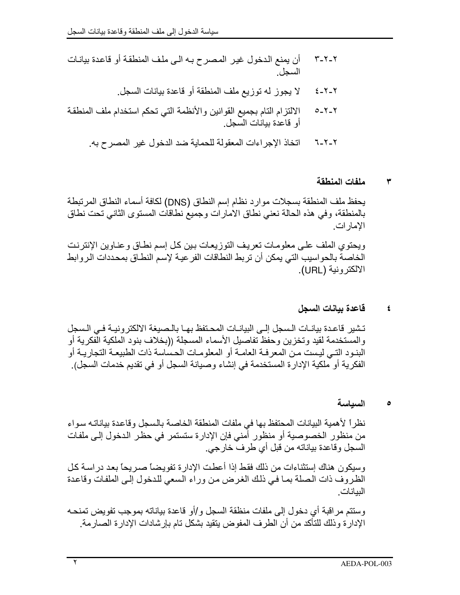- لا يجوز له توزيع ملف المنطقة أو قاعدة بيانات السجل.  $2 - 7 - 7$
- الالتزام التام بجميع القوانين والأنظمة التي تحكم استخدام ملف المنطقة  $0 - 1 - 1$ أو قاعدة بيانات السجل.
	- اتخاذ الإجراءات المعقولة للحماية ضد الدخول غير المصرح به. 7-7-1

### ملفات المنطقة ٣

يحفظ ملف المنطقة بسجلات موارد نظام إسم النطاق (DNS) لكافة أسماء النطاق المرتبطة بالمنطقة، وفي هذه الحالة نعني نطاق الامارات وجميع نطاقات المستوى الثاني تحت نطاق الإمار ات.

ويحتوي الملف على معلومات تعريف التوزيعات بين كل إسم نطاق وعناوين الإنترنت الخاصة بالحواسيب التي يمكن أن تربط النطاقات الفر عية لإسم النطـاق بمحددات الروابط الالكترونية (URL).

#### قاعدة بيانات السجل  $\pmb{\epsilon}$

تشير قاعدة بيانـات الـسجل إلـى البيانـات المحـتفظ بهـا بالـصبغة الالكتر ونيــة فـي الـسجل والمستخدمة لقيد وتخزين وحفظ تفاصيل الأسماء المسجلة ((بخلاف بنود الملكية الفكرية أو البنـود النـّي ليـست مـن المعرفـة الـعامـة أو المعلومـات الـحساسة ذات الطبيعـة التجاريــة أو الفكرية أو ملكية الإدار ة المستخدمة في إنشاء وصيانة السجل أو في تقديم خدمات السجل).

#### السياسة  $\bullet$

نظراً لأهمية البيانات المحتفظ بها في ملفات المنطقة الخاصة بالسجل وقاعدة بياناته سواء من منظور الخصوصية أو منظور أمني فإن الإدارة ستستمر في حظر الدخول إلى ملفات السجل وقاعدة بياناته من قبل أي طرف خارجي.

وسيكون هناك إستثناءات من ذلك فقط إذا أعطت الإدارة تفويضاً صىر يحاً بعد در اسـة كـل الظروف ذات الصلة بما فيي ذلك الغرض من وراء السعى للدخول إلىي الملفات وقاعدة البيانات

وسنتم مراقبة أي دخول إلى ملفات منظقة السجل و/أو قاعدة بياناته بموجب تفويض تمنحـه الإدارة وذلك للتأكد من أن الطرف المفوض يتقيد بشكل تام بإرشادات الإدارة الصـارمة.